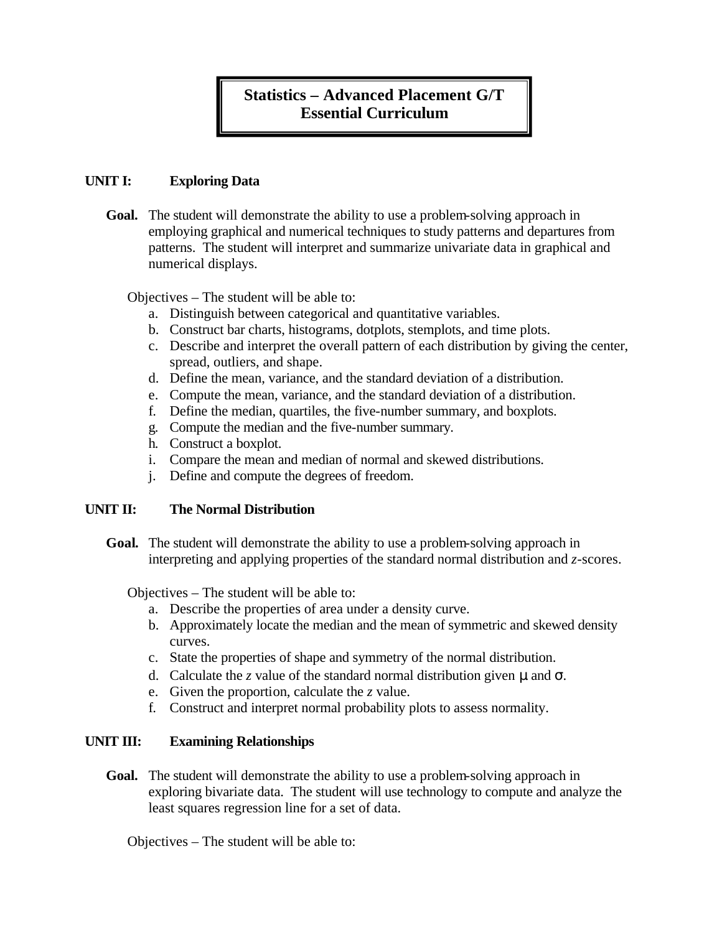# **Statistics – Advanced Placement G/T Essential Curriculum**

## **UNIT I: Exploring Data**

**Goal.** The student will demonstrate the ability to use a problem-solving approach in employing graphical and numerical techniques to study patterns and departures from patterns. The student will interpret and summarize univariate data in graphical and numerical displays.

#### Objectives – The student will be able to:

- a. Distinguish between categorical and quantitative variables.
- b. Construct bar charts, histograms, dotplots, stemplots, and time plots.
- c. Describe and interpret the overall pattern of each distribution by giving the center, spread, outliers, and shape.
- d. Define the mean, variance, and the standard deviation of a distribution.
- e. Compute the mean, variance, and the standard deviation of a distribution.
- f. Define the median, quartiles, the five-number summary, and boxplots.
- g. Compute the median and the five-number summary.
- h. Construct a boxplot.
- i. Compare the mean and median of normal and skewed distributions.
- j. Define and compute the degrees of freedom.

#### **UNIT II: The Normal Distribution**

**Goal.** The student will demonstrate the ability to use a problem-solving approach in interpreting and applying properties of the standard normal distribution and *z*-scores.

Objectives – The student will be able to:

- a. Describe the properties of area under a density curve.
- b. Approximately locate the median and the mean of symmetric and skewed density curves.
- c. State the properties of shape and symmetry of the normal distribution.
- d. Calculate the *z* value of the standard normal distribution given *m* and *s*.
- e. Given the proportion, calculate the *z* value.
- f. Construct and interpret normal probability plots to assess normality.

## **UNIT III: Examining Relationships**

**Goal.** The student will demonstrate the ability to use a problem-solving approach in exploring bivariate data. The student will use technology to compute and analyze the least squares regression line for a set of data.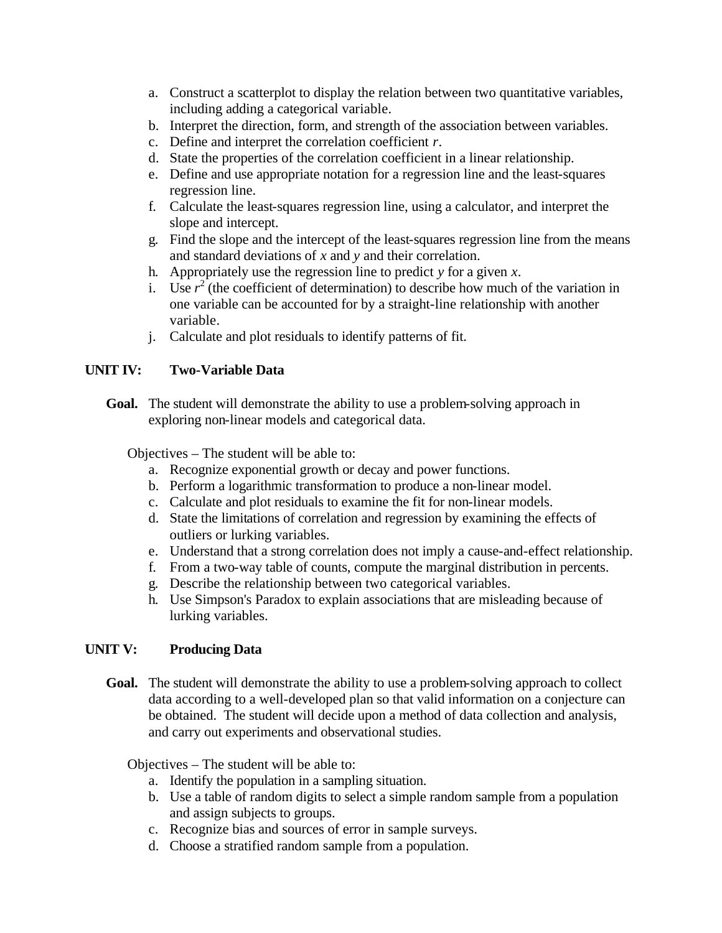- a. Construct a scatterplot to display the relation between two quantitative variables, including adding a categorical variable.
- b. Interpret the direction, form, and strength of the association between variables.
- c. Define and interpret the correlation coefficient *r*.
- d. State the properties of the correlation coefficient in a linear relationship.
- e. Define and use appropriate notation for a regression line and the least-squares regression line.
- f. Calculate the least-squares regression line, using a calculator, and interpret the slope and intercept.
- g. Find the slope and the intercept of the least-squares regression line from the means and standard deviations of *x* and *y* and their correlation.
- h. Appropriately use the regression line to predict *y* for a given *x*.
- i. Use  $r^2$  (the coefficient of determination) to describe how much of the variation in one variable can be accounted for by a straight-line relationship with another variable.
- j. Calculate and plot residuals to identify patterns of fit.

#### **UNIT IV: Two-Variable Data**

**Goal.** The student will demonstrate the ability to use a problem-solving approach in exploring non-linear models and categorical data.

Objectives – The student will be able to:

- a. Recognize exponential growth or decay and power functions.
- b. Perform a logarithmic transformation to produce a non-linear model.
- c. Calculate and plot residuals to examine the fit for non-linear models.
- d. State the limitations of correlation and regression by examining the effects of outliers or lurking variables.
- e. Understand that a strong correlation does not imply a cause-and-effect relationship.
- f. From a two-way table of counts, compute the marginal distribution in percents.
- g. Describe the relationship between two categorical variables.
- h. Use Simpson's Paradox to explain associations that are misleading because of lurking variables.

## **UNIT V: Producing Data**

Goal. The student will demonstrate the ability to use a problem-solving approach to collect data according to a well-developed plan so that valid information on a conjecture can be obtained. The student will decide upon a method of data collection and analysis, and carry out experiments and observational studies.

- a. Identify the population in a sampling situation.
- b. Use a table of random digits to select a simple random sample from a population and assign subjects to groups.
- c. Recognize bias and sources of error in sample surveys.
- d. Choose a stratified random sample from a population.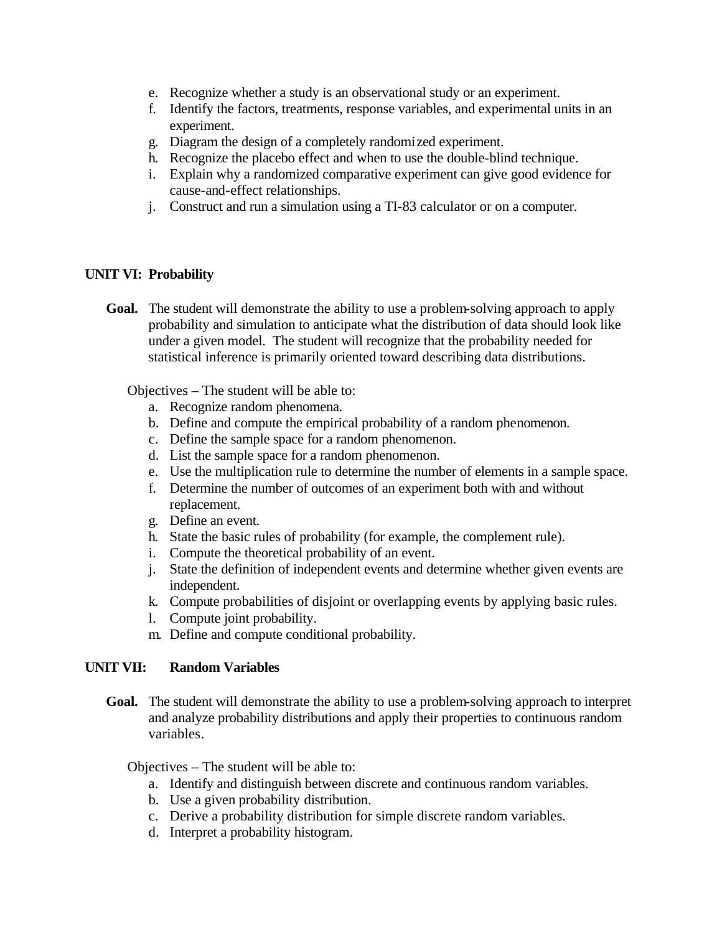- e. Recognize whether a study is an observational study or an experiment.
- f. Identify the factors, treatments, response variables, and experimental units in an experiment.
- g. Diagram the design of a completely randomized experiment.
- h. Recognize the placebo effect and when to use the double-blind technique.
- i. Explain why a randomized comparative experiment can give good evidence for cause-and-effect relationships.
- j. Construct and run a simulation using a TI-83 calculator or on a computer.

#### **UNIT VI: Probability**

**Goal.** The student will demonstrate the ability to use a problem-solving approach to apply probability and simulation to anticipate what the distribution of data should look like under a given model. The student will recognize that the probability needed for statistical inference is primarily oriented toward describing data distributions.

Objectives – The student will be able to:

- a. Recognize random phenomena.
- b. Define and compute the empirical probability of a random phenomenon.
- c. Define the sample space for a random phenomenon.
- d. List the sample space for a random phenomenon.
- e. Use the multiplication rule to determine the number of elements in a sample space.
- f. Determine the number of outcomes of an experiment both with and without replacement.
- g. Define an event.
- h. State the basic rules of probability (for example, the complement rule).
- i. Compute the theoretical probability of an event.
- j. State the definition of independent events and determine whether given events are independent.
- k. Compute probabilities of disjoint or overlapping events by applying basic rules.
- l. Compute joint probability.
- m. Define and compute conditional probability.

## **UNIT VII: Random Variables**

**Goal.** The student will demonstrate the ability to use a problem-solving approach to interpret and analyze probability distributions and apply their properties to continuous random variables.

- a. Identify and distinguish between discrete and continuous random variables.
- b. Use a given probability distribution.
- c. Derive a probability distribution for simple discrete random variables.
- d. Interpret a probability histogram.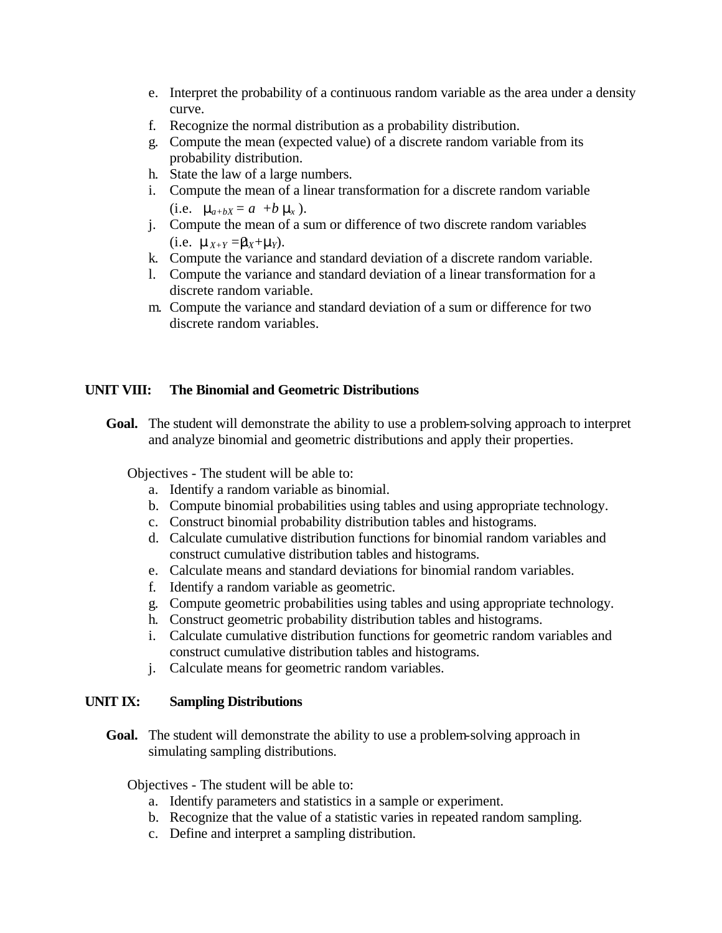- e. Interpret the probability of a continuous random variable as the area under a density curve.
- f. Recognize the normal distribution as a probability distribution.
- g. Compute the mean (expected value) of a discrete random variable from its probability distribution.
- h. State the law of a large numbers.
- i. Compute the mean of a linear transformation for a discrete random variable (i.e.  $m_{a+bX} = a + b \, m_x$ ).
- j. Compute the mean of a sum or difference of two discrete random variables  $(i.e.$   $m_{X+Y} = m_X + m_Y$ ).
- k. Compute the variance and standard deviation of a discrete random variable.
- l. Compute the variance and standard deviation of a linear transformation for a discrete random variable.
- m. Compute the variance and standard deviation of a sum or difference for two discrete random variables.

## **UNIT VIII: The Binomial and Geometric Distributions**

**Goal.** The student will demonstrate the ability to use a problem-solving approach to interpret and analyze binomial and geometric distributions and apply their properties.

Objectives - The student will be able to:

- a. Identify a random variable as binomial.
- b. Compute binomial probabilities using tables and using appropriate technology.
- c. Construct binomial probability distribution tables and histograms.
- d. Calculate cumulative distribution functions for binomial random variables and construct cumulative distribution tables and histograms.
- e. Calculate means and standard deviations for binomial random variables.
- f. Identify a random variable as geometric.
- g. Compute geometric probabilities using tables and using appropriate technology.
- h. Construct geometric probability distribution tables and histograms.
- i. Calculate cumulative distribution functions for geometric random variables and construct cumulative distribution tables and histograms.
- j. Calculate means for geometric random variables.

#### **UNIT IX: Sampling Distributions**

**Goal.** The student will demonstrate the ability to use a problem-solving approach in simulating sampling distributions.

- a. Identify parameters and statistics in a sample or experiment.
- b. Recognize that the value of a statistic varies in repeated random sampling.
- c. Define and interpret a sampling distribution.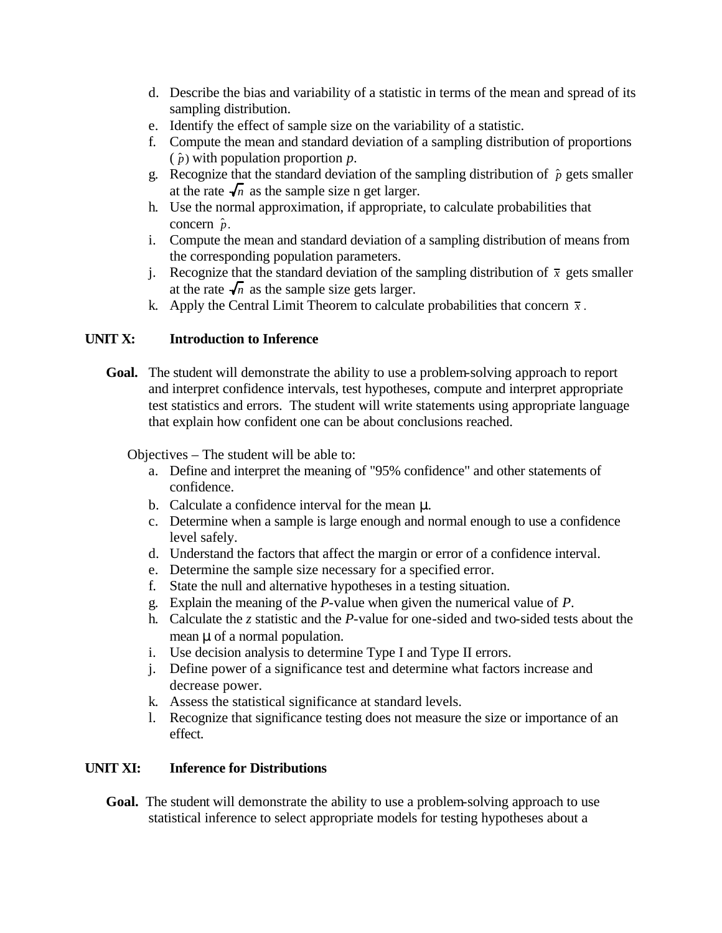- d. Describe the bias and variability of a statistic in terms of the mean and spread of its sampling distribution.
- e. Identify the effect of sample size on the variability of a statistic.
- f. Compute the mean and standard deviation of a sampling distribution of proportions  $(\hat{p})$  with population proportion *p*.
- g. Recognize that the standard deviation of the sampling distribution of  $\hat{p}$  gets smaller at the rate  $\sqrt{n}$  as the sample size n get larger.
- h. Use the normal approximation, if appropriate, to calculate probabilities that concern  $\hat{p}$ .
- i. Compute the mean and standard deviation of a sampling distribution of means from the corresponding population parameters.
- j. Recognize that the standard deviation of the sampling distribution of  $\bar{x}$  gets smaller at the rate  $\sqrt{n}$  as the sample size gets larger.
- k. Apply the Central Limit Theorem to calculate probabilities that concern  $\bar{x}$ .

# **UNIT X: Introduction to Inference**

**Goal.** The student will demonstrate the ability to use a problem-solving approach to report and interpret confidence intervals, test hypotheses, compute and interpret appropriate test statistics and errors. The student will write statements using appropriate language that explain how confident one can be about conclusions reached.

Objectives – The student will be able to:

- a. Define and interpret the meaning of "95% confidence" and other statements of confidence.
- b. Calculate a confidence interval for the mean *m*.
- c. Determine when a sample is large enough and normal enough to use a confidence level safely.
- d. Understand the factors that affect the margin or error of a confidence interval.
- e. Determine the sample size necessary for a specified error.
- f. State the null and alternative hypotheses in a testing situation.
- g. Explain the meaning of the *P*-value when given the numerical value of *P*.
- h. Calculate the *z* statistic and the *P*-value for one-sided and two-sided tests about the mean *m* of a normal population.
- i. Use decision analysis to determine Type I and Type II errors.
- j. Define power of a significance test and determine what factors increase and decrease power.
- k. Assess the statistical significance at standard levels.
- l. Recognize that significance testing does not measure the size or importance of an effect.

## **UNIT XI: Inference for Distributions**

**Goal.** The student will demonstrate the ability to use a problem-solving approach to use statistical inference to select appropriate models for testing hypotheses about a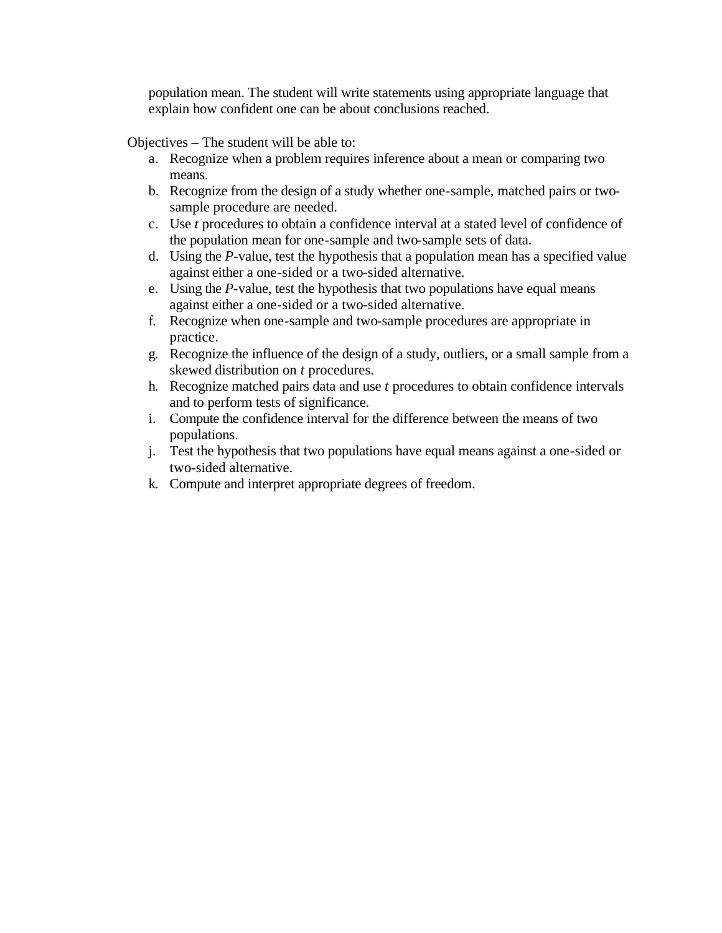population mean. The student will write statements using appropriate language that explain how confident one can be about conclusions reached.

- a. Recognize when a problem requires inference about a mean or comparing two means.
- b. Recognize from the design of a study whether one-sample, matched pairs or twosample procedure are needed.
- c. Use *t* procedures to obtain a confidence interval at a stated level of confidence of the population mean for one-sample and two-sample sets of data.
- d. Using the *P*-value, test the hypothesis that a population mean has a specified value against either a one-sided or a two-sided alternative.
- e. Using the *P*-value, test the hypothesis that two populations have equal means against either a one-sided or a two-sided alternative.
- f. Recognize when one-sample and two-sample procedures are appropriate in practice.
- g. Recognize the influence of the design of a study, outliers, or a small sample from a skewed distribution on *t* procedures.
- h. Recognize matched pairs data and use *t* procedures to obtain confidence intervals and to perform tests of significance.
- i. Compute the confidence interval for the difference between the means of two populations.
- j. Test the hypothesis that two populations have equal means against a one-sided or two-sided alternative.
- k. Compute and interpret appropriate degrees of freedom.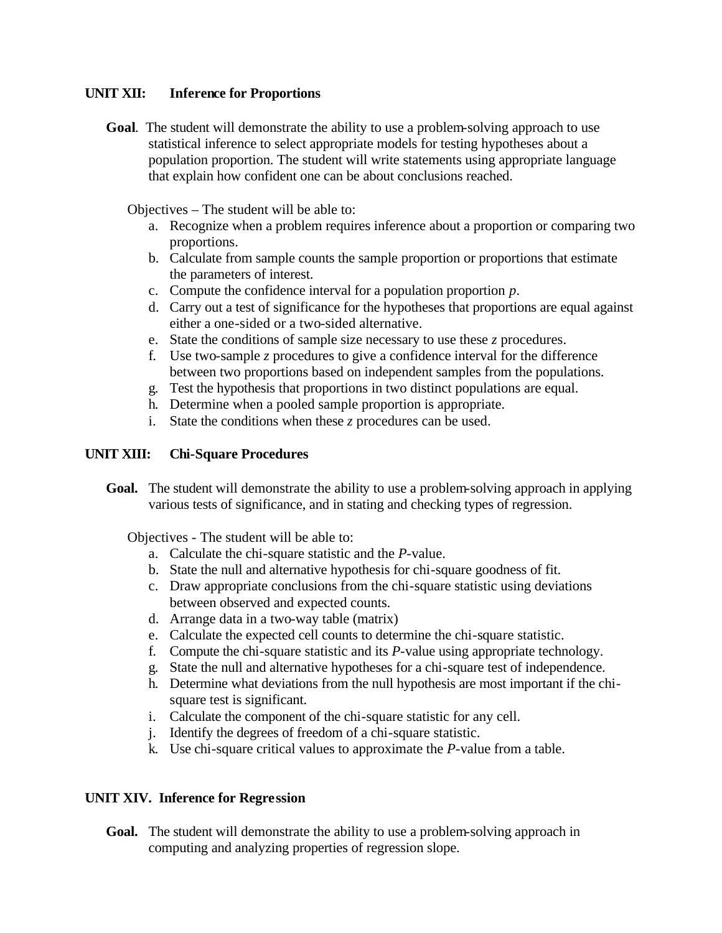#### **UNIT XII: Inference for Proportions**

**Goal**. The student will demonstrate the ability to use a problem-solving approach to use statistical inference to select appropriate models for testing hypotheses about a population proportion. The student will write statements using appropriate language that explain how confident one can be about conclusions reached.

Objectives – The student will be able to:

- a. Recognize when a problem requires inference about a proportion or comparing two proportions.
- b. Calculate from sample counts the sample proportion or proportions that estimate the parameters of interest.
- c. Compute the confidence interval for a population proportion *p*.
- d. Carry out a test of significance for the hypotheses that proportions are equal against either a one-sided or a two-sided alternative.
- e. State the conditions of sample size necessary to use these *z* procedures.
- f. Use two-sample *z* procedures to give a confidence interval for the difference between two proportions based on independent samples from the populations.
- g. Test the hypothesis that proportions in two distinct populations are equal.
- h. Determine when a pooled sample proportion is appropriate.
- i. State the conditions when these *z* procedures can be used.

#### **UNIT XIII: Chi-Square Procedures**

**Goal.** The student will demonstrate the ability to use a problem-solving approach in applying various tests of significance, and in stating and checking types of regression.

Objectives - The student will be able to:

- a. Calculate the chi-square statistic and the *P*-value.
- b. State the null and alternative hypothesis for chi-square goodness of fit.
- c. Draw appropriate conclusions from the chi-square statistic using deviations between observed and expected counts.
- d. Arrange data in a two-way table (matrix)
- e. Calculate the expected cell counts to determine the chi-square statistic.
- f. Compute the chi-square statistic and its *P*-value using appropriate technology.
- g. State the null and alternative hypotheses for a chi-square test of independence.
- h. Determine what deviations from the null hypothesis are most important if the chisquare test is significant.
- i. Calculate the component of the chi-square statistic for any cell.
- j. Identify the degrees of freedom of a chi-square statistic.
- k. Use chi-square critical values to approximate the *P*-value from a table.

## **UNIT XIV. Inference for Regression**

**Goal.** The student will demonstrate the ability to use a problem-solving approach in computing and analyzing properties of regression slope.